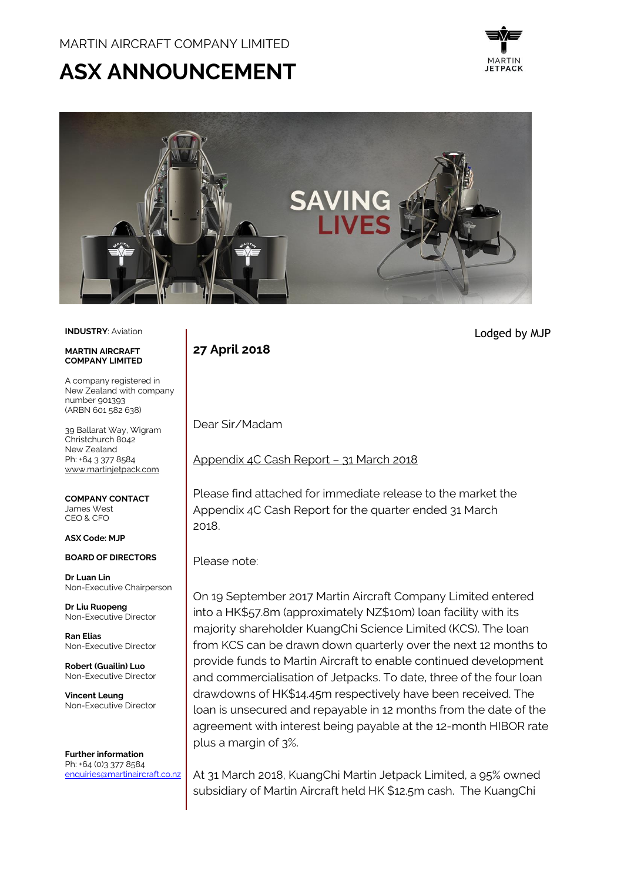# **ASX ANNOUNCEMENT**





#### **INDUSTRY**: Aviation

#### **MARTIN AIRCRAFT COMPANY LIMITED**

A company registered in New Zealand with company number 901393 (ARBN 601 582 638)

39 Ballarat Way, Wigram Christchurch 8042 New Zealand Ph: +64 3 377 8584 [www.martinjetpack.com](http://www.martinjetpack.com/)

**COMPANY CONTACT** James West CEO & CFO

#### **ASX Code: MJP**

**BOARD OF DIRECTORS**

**Dr Luan Lin** Non-Executive Chairperson

**Dr Liu Ruopeng**  Non-Executive Director

**Ran Elias** Non-Executive Director

**Robert (Guailin) Luo** Non-Executive Director

**Vincent Leung** Non-Executive Director

**Further information** Ph: +64 (0)3 377 8584 [enquiries@martinaircraft.co.nz](mailto:enquiries@martinaircraft.co.nz) **27 April 2018**

Dear Sir/Madam

Appendix 4C Cash Report – 31 March 2018

Please find attached for immediate release to the market the Appendix 4C Cash Report for the quarter ended 31 March 2018.

Please note:

On 19 September 2017 Martin Aircraft Company Limited entered into a HK\$57.8m (approximately NZ\$10m) loan facility with its majority shareholder KuangChi Science Limited (KCS). The loan from KCS can be drawn down quarterly over the next 12 months to provide funds to Martin Aircraft to enable continued development and commercialisation of Jetpacks. To date, three of the four loan drawdowns of HK\$14.45m respectively have been received. The loan is unsecured and repayable in 12 months from the date of the agreement with interest being payable at the 12-month HIBOR rate plus a margin of 3%.

At 31 March 2018, KuangChi Martin Jetpack Limited, a 95% owned subsidiary of Martin Aircraft held HK \$12.5m cash. The KuangChi

Lodged by MJP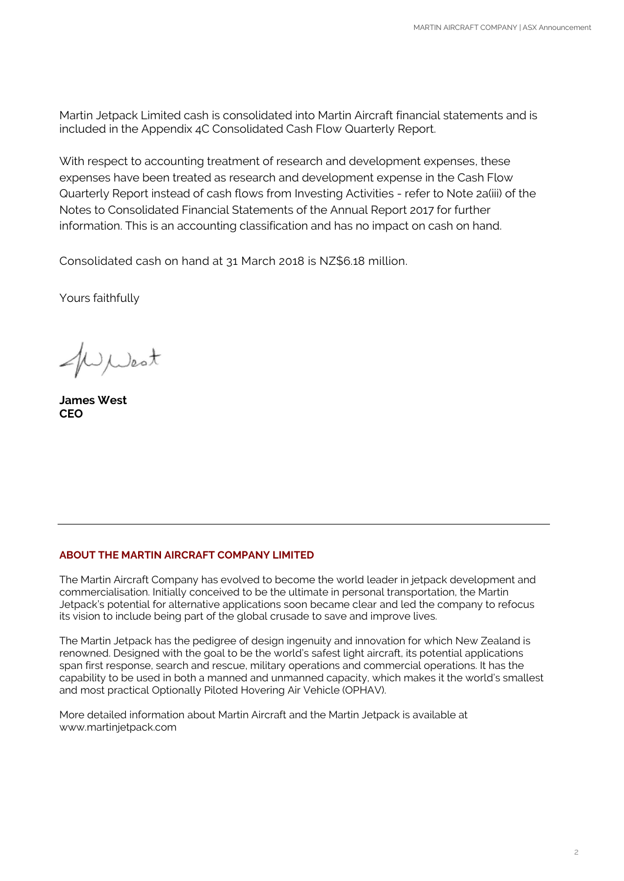Martin Jetpack Limited cash is consolidated into Martin Aircraft financial statements and is included in the Appendix 4C Consolidated Cash Flow Quarterly Report.

With respect to accounting treatment of research and development expenses, these expenses have been treated as research and development expense in the Cash Flow Quarterly Report instead of cash flows from Investing Activities - refer to Note 2a(iii) of the Notes to Consolidated Financial Statements of the Annual Report 2017 for further information. This is an accounting classification and has no impact on cash on hand.

Consolidated cash on hand at 31 March 2018 is NZ\$6.18 million.

Yours faithfully

WWest

**James West CEO**

#### **ABOUT THE MARTIN AIRCRAFT COMPANY LIMITED**

The Martin Aircraft Company has evolved to become the world leader in jetpack development and commercialisation. Initially conceived to be the ultimate in personal transportation, the Martin Jetpack's potential for alternative applications soon became clear and led the company to refocus its vision to include being part of the global crusade to save and improve lives.

The Martin Jetpack has the pedigree of design ingenuity and innovation for which New Zealand is renowned. Designed with the goal to be the world's safest light aircraft, its potential applications span first response, search and rescue, military operations and commercial operations. It has the capability to be used in both a manned and unmanned capacity, which makes it the world's smallest and most practical Optionally Piloted Hovering Air Vehicle (OPHAV).

More detailed information about Martin Aircraft and the Martin Jetpack is available at www.martinjetpack.com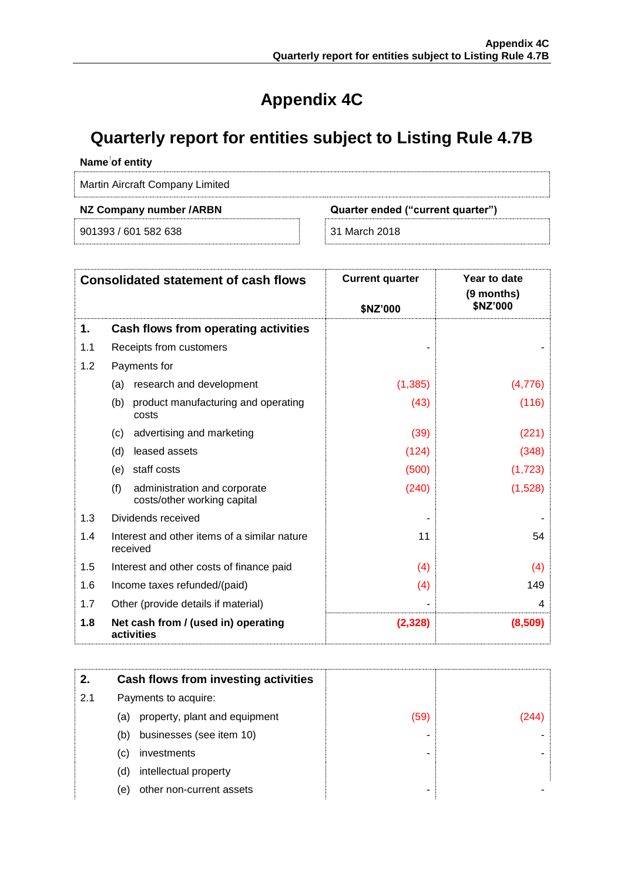## **Appendix 4C**

### **Quarterly report for entities subject to Listing Rule 4.7B**

#### **Name of entity**

Martin Aircraft Company Limited

901393 / 601 582 638 31 March 2018

#### **NZ Company number /ARBN Quarter ended ("current quarter")**

| <b>Consolidated statement of cash flows</b> |                                                                    | <b>Current quarter</b><br>\$NZ'000 | Year to date<br>(9 months)<br>\$NZ'000 |
|---------------------------------------------|--------------------------------------------------------------------|------------------------------------|----------------------------------------|
| 1.                                          | Cash flows from operating activities                               |                                    |                                        |
| 1.1                                         | Receipts from customers                                            |                                    |                                        |
| 1.2                                         | Payments for                                                       |                                    |                                        |
|                                             | research and development<br>(a)                                    | (1,385)                            | (4,776)                                |
|                                             | product manufacturing and operating<br>(b)<br>costs                | (43)                               | (116)                                  |
|                                             | (c)<br>advertising and marketing                                   | (39)                               | (221)                                  |
|                                             | (d)<br>leased assets                                               | (124)                              | (348)                                  |
|                                             | staff costs<br>(e)                                                 | (500)                              | (1,723)                                |
|                                             | (f)<br>administration and corporate<br>costs/other working capital | (240)                              | (1,528)                                |
| 1.3                                         | Dividends received                                                 |                                    |                                        |
| 1.4                                         | Interest and other items of a similar nature<br>received           | 11                                 | 54                                     |
| 1.5                                         | Interest and other costs of finance paid                           | (4)                                | (4)                                    |
| 1.6                                         | Income taxes refunded/(paid)                                       | (4)                                | 149                                    |
| 1.7                                         | Other (provide details if material)                                |                                    | 4                                      |
| 1.8                                         | Net cash from / (used in) operating<br>activities                  | (2, 328)                           | (8,509)                                |

| 2.  | Cash flows from investing activities |      |  |
|-----|--------------------------------------|------|--|
| 2.1 | Payments to acquire:                 |      |  |
|     | property, plant and equipment<br>(a) | (59) |  |
|     | businesses (see item 10)<br>(b)      |      |  |
|     | investments<br>(C)                   |      |  |
|     | intellectual property<br>(d)         |      |  |
|     | other non-current assets<br>(e)      |      |  |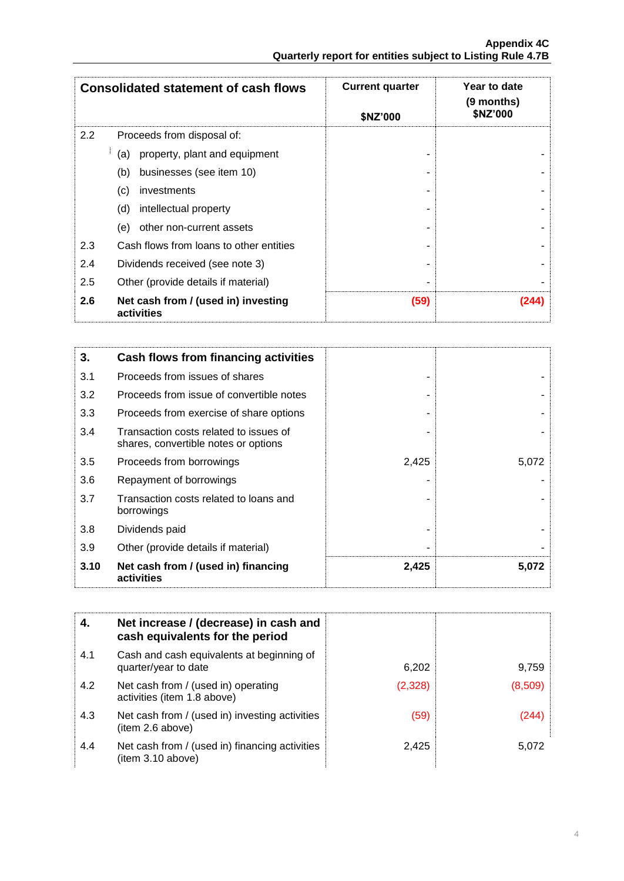| <b>Consolidated statement of cash flows</b> |                                                   | <b>Current quarter</b> | Year to date<br>(9 months)<br>\$NZ'000 |
|---------------------------------------------|---------------------------------------------------|------------------------|----------------------------------------|
|                                             |                                                   | \$NZ'000               |                                        |
| 2.2                                         | Proceeds from disposal of:                        |                        |                                        |
|                                             | property, plant and equipment<br>(a)              |                        |                                        |
|                                             | businesses (see item 10)<br>(b)                   |                        |                                        |
|                                             | (c)<br>investments                                |                        |                                        |
|                                             | (d)<br>intellectual property                      |                        |                                        |
|                                             | other non-current assets<br>(e)                   |                        |                                        |
| 2.3                                         | Cash flows from loans to other entities           |                        |                                        |
| 2.4                                         | Dividends received (see note 3)                   |                        |                                        |
| 2.5                                         | Other (provide details if material)               |                        |                                        |
| 2.6                                         | Net cash from / (used in) investing<br>activities | (59)                   |                                        |

| 3.   | Cash flows from financing activities                                           |       |       |
|------|--------------------------------------------------------------------------------|-------|-------|
| 3.1  | Proceeds from issues of shares                                                 |       |       |
| 3.2  | Proceeds from issue of convertible notes                                       |       |       |
| 3.3  | Proceeds from exercise of share options                                        |       |       |
| 3.4  | Transaction costs related to issues of<br>shares, convertible notes or options |       |       |
| 3.5  | Proceeds from borrowings                                                       | 2,425 | 5,072 |
| 3.6  | Repayment of borrowings                                                        |       |       |
| 3.7  | Transaction costs related to loans and<br>borrowings                           |       |       |
| 3.8  | Dividends paid                                                                 |       |       |
| 3.9  | Other (provide details if material)                                            |       |       |
| 3.10 | Net cash from / (used in) financing<br>activities                              | 2,425 | 5,072 |

| 4.  | Net increase / (decrease) in cash and<br>cash equivalents for the period |         |         |
|-----|--------------------------------------------------------------------------|---------|---------|
| 4.1 | Cash and cash equivalents at beginning of<br>quarter/year to date        | 6,202   | 9,759   |
| 4.2 | Net cash from / (used in) operating<br>activities (item 1.8 above)       | (2,328) | (8,509) |
| 4.3 | Net cash from / (used in) investing activities<br>(item 2.6 above)       | (59)    | (244)   |
| 4.4 | Net cash from / (used in) financing activities<br>(item 3.10 above)      | 2,425   | 5.072   |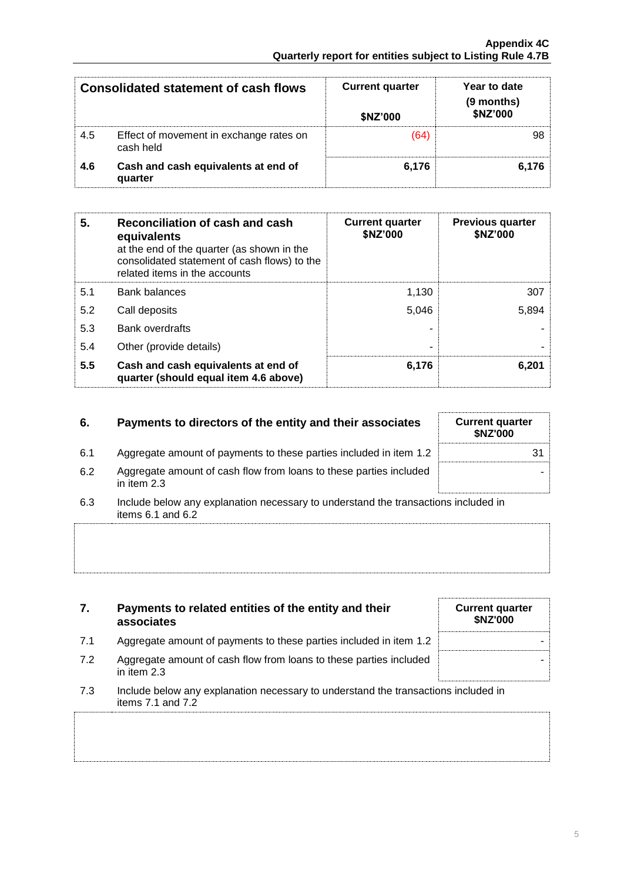| <b>Consolidated statement of cash flows</b> |                                                      | <b>Current quarter</b><br>\$NZ'000 | Year to date<br>(9 months)<br>\$NZ'000 |
|---------------------------------------------|------------------------------------------------------|------------------------------------|----------------------------------------|
| 4.5                                         | Effect of movement in exchange rates on<br>cash held | (64)                               | 98.                                    |
| 4.6                                         | Cash and cash equivalents at end of<br>quarter       | 6.176                              | 6.176                                  |

| 5.  | Reconciliation of cash and cash<br>equivalents<br>at the end of the quarter (as shown in the<br>consolidated statement of cash flows) to the<br>related items in the accounts | <b>Current quarter</b><br>\$NZ'000 | <b>Previous quarter</b><br>\$NZ'000 |
|-----|-------------------------------------------------------------------------------------------------------------------------------------------------------------------------------|------------------------------------|-------------------------------------|
| 5.1 | <b>Bank balances</b>                                                                                                                                                          | 1.130                              | 307                                 |
| 5.2 | Call deposits                                                                                                                                                                 | 5.046                              | 5,894                               |
| 5.3 | Bank overdrafts                                                                                                                                                               |                                    |                                     |
| 5.4 | Other (provide details)                                                                                                                                                       | -                                  |                                     |
| 5.5 | Cash and cash equivalents at end of<br>quarter (should equal item 4.6 above)                                                                                                  | 6,176                              | 6,201                               |

#### **6.** Payments to directors of the entity and their associates

| 6.1 | Aggregate amount of payments to these parties included in item 1.2                  | 31 |
|-----|-------------------------------------------------------------------------------------|----|
| 6.2 | Aggregate amount of cash flow from loans to these parties included<br>in item $2.3$ |    |

6.3 Include below any explanation necessary to understand the transactions included in items 6.1 and 6.2

#### **7. Payments to related entities of the entity and their associates Current quarter \$NZ'000** 7.1 Aggregate amount of payments to these parties included in item 1.2  $\parallel$ 7.2 Aggregate amount of cash flow from loans to these parties included in item 2.3

7.3 Include below any explanation necessary to understand the transactions included in items 7.1 and 7.2

| <b>Current quarter</b><br>\$NZ'000 |
|------------------------------------|
| 31                                 |
|                                    |

-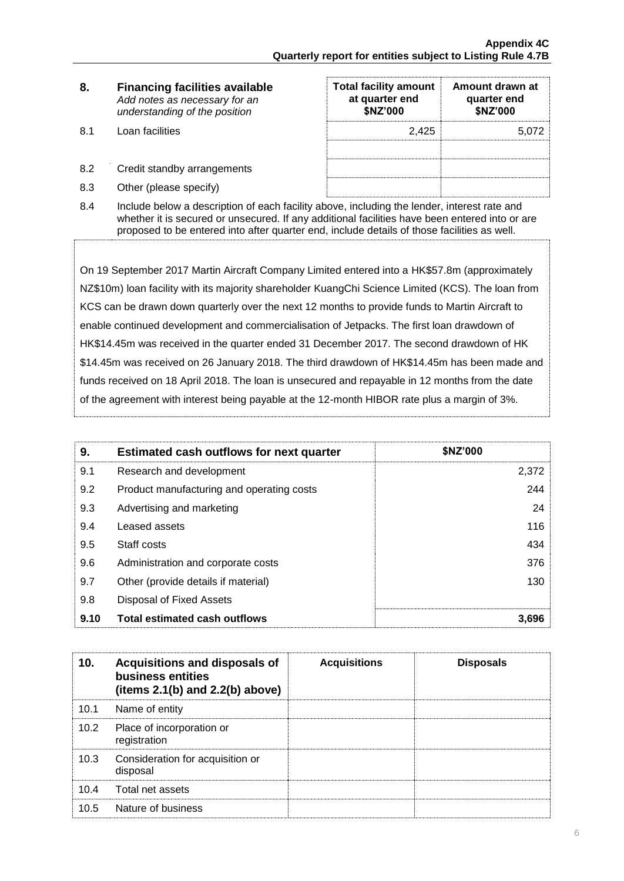| 8. | <b>Financing facilities available</b> |
|----|---------------------------------------|
|    | Add notes as necessary for an         |
|    | understanding of the position         |

- 8.1 Loan facilities
- 8.2 Credit standby arrangements
- 8.3 Other (please specify)

| <b>Total facility amount</b><br>at quarter end<br>\$NZ'000 | Amount drawn at<br>quarter end<br>\$NZ'000 |
|------------------------------------------------------------|--------------------------------------------|
| 2.425                                                      | 5,072                                      |
|                                                            |                                            |
|                                                            |                                            |
|                                                            |                                            |

8.4 Include below a description of each facility above, including the lender, interest rate and whether it is secured or unsecured. If any additional facilities have been entered into or are proposed to be entered into after quarter end, include details of those facilities as well.

On 19 September 2017 Martin Aircraft Company Limited entered into a HK\$57.8m (approximately NZ\$10m) loan facility with its majority shareholder KuangChi Science Limited (KCS). The loan from KCS can be drawn down quarterly over the next 12 months to provide funds to Martin Aircraft to enable continued development and commercialisation of Jetpacks. The first loan drawdown of HK\$14.45m was received in the quarter ended 31 December 2017. The second drawdown of HK \$14.45m was received on 26 January 2018. The third drawdown of HK\$14.45m has been made and funds received on 18 April 2018. The loan is unsecured and repayable in 12 months from the date of the agreement with interest being payable at the 12-month HIBOR rate plus a margin of 3%.

| 9.   | <b>Estimated cash outflows for next quarter</b> | <b>SNZ'000</b> |
|------|-------------------------------------------------|----------------|
| 9.1  | Research and development                        | 2,372          |
| 9.2  | Product manufacturing and operating costs       | 244            |
| 9.3  | Advertising and marketing                       | 24             |
| 9.4  | Leased assets                                   | 116            |
| 9.5  | Staff costs                                     | 434            |
| 9.6  | Administration and corporate costs              | 376            |
| 9.7  | Other (provide details if material)             | 130            |
| 9.8  | Disposal of Fixed Assets                        |                |
| 9.10 | <b>Total estimated cash outflows</b>            | 3,696          |

| 10.  | Acquisitions and disposals of<br>business entities<br>(items $2.1(b)$ and $2.2(b)$ above) | <b>Acquisitions</b> | <b>Disposals</b> |
|------|-------------------------------------------------------------------------------------------|---------------------|------------------|
| 10.1 | Name of entity                                                                            |                     |                  |
| 10.2 | Place of incorporation or<br>registration                                                 |                     |                  |
| 10.3 | Consideration for acquisition or<br>disposal                                              |                     |                  |
| 10.4 | Total net assets                                                                          |                     |                  |
| 10.5 | Nature of business                                                                        |                     |                  |